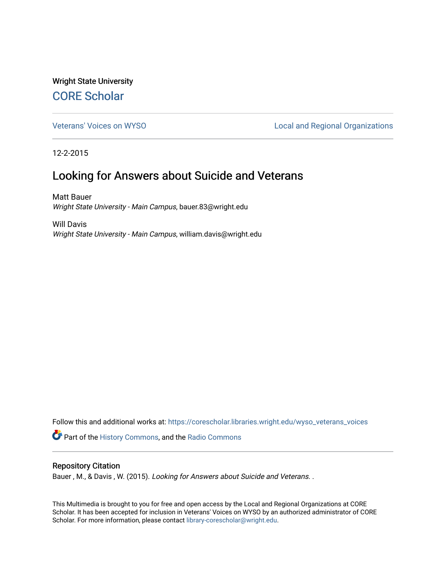Wright State University [CORE Scholar](https://corescholar.libraries.wright.edu/)

[Veterans' Voices on WYSO](https://corescholar.libraries.wright.edu/wyso_veterans_voices) **Local and Regional Organizations** 

12-2-2015

## Looking for Answers about Suicide and Veterans

Matt Bauer Wright State University - Main Campus, bauer.83@wright.edu

Will Davis Wright State University - Main Campus, william.davis@wright.edu

Follow this and additional works at: [https://corescholar.libraries.wright.edu/wyso\\_veterans\\_voices](https://corescholar.libraries.wright.edu/wyso_veterans_voices?utm_source=corescholar.libraries.wright.edu%2Fwyso_veterans_voices%2F1&utm_medium=PDF&utm_campaign=PDFCoverPages) Part of the [History Commons,](http://network.bepress.com/hgg/discipline/489?utm_source=corescholar.libraries.wright.edu%2Fwyso_veterans_voices%2F1&utm_medium=PDF&utm_campaign=PDFCoverPages) and the [Radio Commons](http://network.bepress.com/hgg/discipline/1144?utm_source=corescholar.libraries.wright.edu%2Fwyso_veterans_voices%2F1&utm_medium=PDF&utm_campaign=PDFCoverPages) 

#### Repository Citation

Bauer, M., & Davis, W. (2015). Looking for Answers about Suicide and Veterans. .

This Multimedia is brought to you for free and open access by the Local and Regional Organizations at CORE Scholar. It has been accepted for inclusion in Veterans' Voices on WYSO by an authorized administrator of CORE Scholar. For more information, please contact [library-corescholar@wright.edu](mailto:library-corescholar@wright.edu).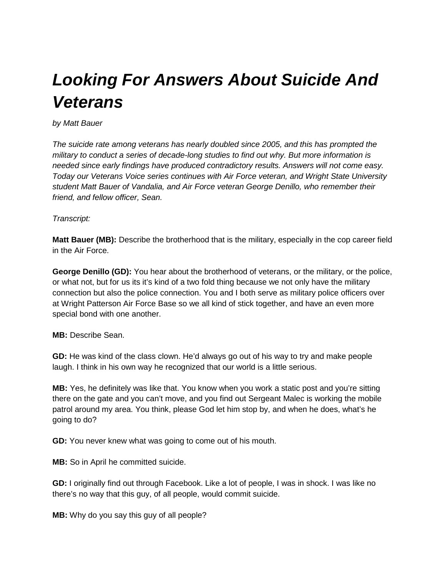# *Looking For Answers About Suicide And Veterans*

#### *by Matt Bauer*

*The suicide rate among veterans has nearly doubled since 2005, and this has prompted the military to conduct a series of decade-long studies to find out why. But more information is needed since early findings have produced contradictory results. Answers will not come easy. Today our Veterans Voice series continues with Air Force veteran, and Wright State University student Matt Bauer of Vandalia, and Air Force veteran George Denillo, who remember their friend, and fellow officer, Sean.*

### *Transcript:*

**Matt Bauer (MB):** Describe the brotherhood that is the military, especially in the cop career field in the Air Force.

**George Denillo (GD):** You hear about the brotherhood of veterans, or the military, or the police, or what not, but for us its it's kind of a two fold thing because we not only have the military connection but also the police connection. You and I both serve as military police officers over at Wright Patterson Air Force Base so we all kind of stick together, and have an even more special bond with one another.

#### **MB:** Describe Sean.

**GD:** He was kind of the class clown. He'd always go out of his way to try and make people laugh. I think in his own way he recognized that our world is a little serious.

**MB:** Yes, he definitely was like that. You know when you work a static post and you're sitting there on the gate and you can't move, and you find out Sergeant Malec is working the mobile patrol around my area. You think, please God let him stop by, and when he does, what's he going to do?

**GD:** You never knew what was going to come out of his mouth.

**MB:** So in April he committed suicide.

**GD:** I originally find out through Facebook. Like a lot of people, I was in shock. I was like no there's no way that this guy, of all people, would commit suicide.

**MB:** Why do you say this guy of all people?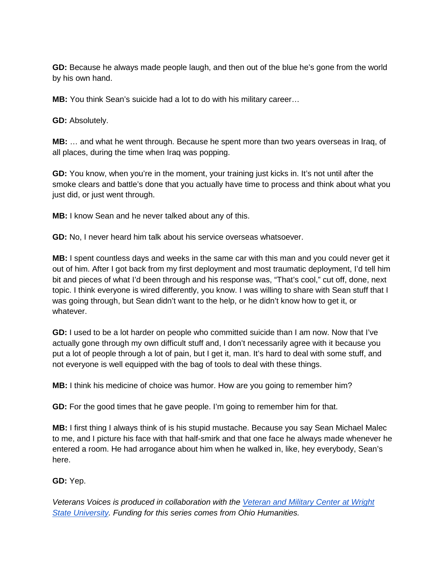**GD:** Because he always made people laugh, and then out of the blue he's gone from the world by his own hand.

**MB:** You think Sean's suicide had a lot to do with his military career…

**GD:** Absolutely.

**MB:** … and what he went through. Because he spent more than two years overseas in Iraq, of all places, during the time when Iraq was popping.

**GD:** You know, when you're in the moment, your training just kicks in. It's not until after the smoke clears and battle's done that you actually have time to process and think about what you just did, or just went through.

**MB:** I know Sean and he never talked about any of this.

**GD:** No, I never heard him talk about his service overseas whatsoever.

**MB:** I spent countless days and weeks in the same car with this man and you could never get it out of him. After I got back from my first deployment and most traumatic deployment, I'd tell him bit and pieces of what I'd been through and his response was, "That's cool," cut off, done, next topic. I think everyone is wired differently, you know. I was willing to share with Sean stuff that I was going through, but Sean didn't want to the help, or he didn't know how to get it, or whatever.

**GD:** I used to be a lot harder on people who committed suicide than I am now. Now that I've actually gone through my own difficult stuff and, I don't necessarily agree with it because you put a lot of people through a lot of pain, but I get it, man. It's hard to deal with some stuff, and not everyone is well equipped with the bag of tools to deal with these things.

**MB:** I think his medicine of choice was humor. How are you going to remember him?

**GD:** For the good times that he gave people. I'm going to remember him for that.

**MB:** I first thing I always think of is his stupid mustache. Because you say Sean Michael Malec to me, and I picture his face with that half-smirk and that one face he always made whenever he entered a room. He had arrogance about him when he walked in, like, hey everybody, Sean's here.

**GD:** Yep.

*Veterans Voices is produced in collaboration with th[e](https://www.wright.edu/veteran-and-military-center) [Veteran and Military Center at Wright](https://www.wright.edu/veteran-and-military-center)  [State University.](https://www.wright.edu/veteran-and-military-center) Funding for this series comes from Ohio Humanities.*